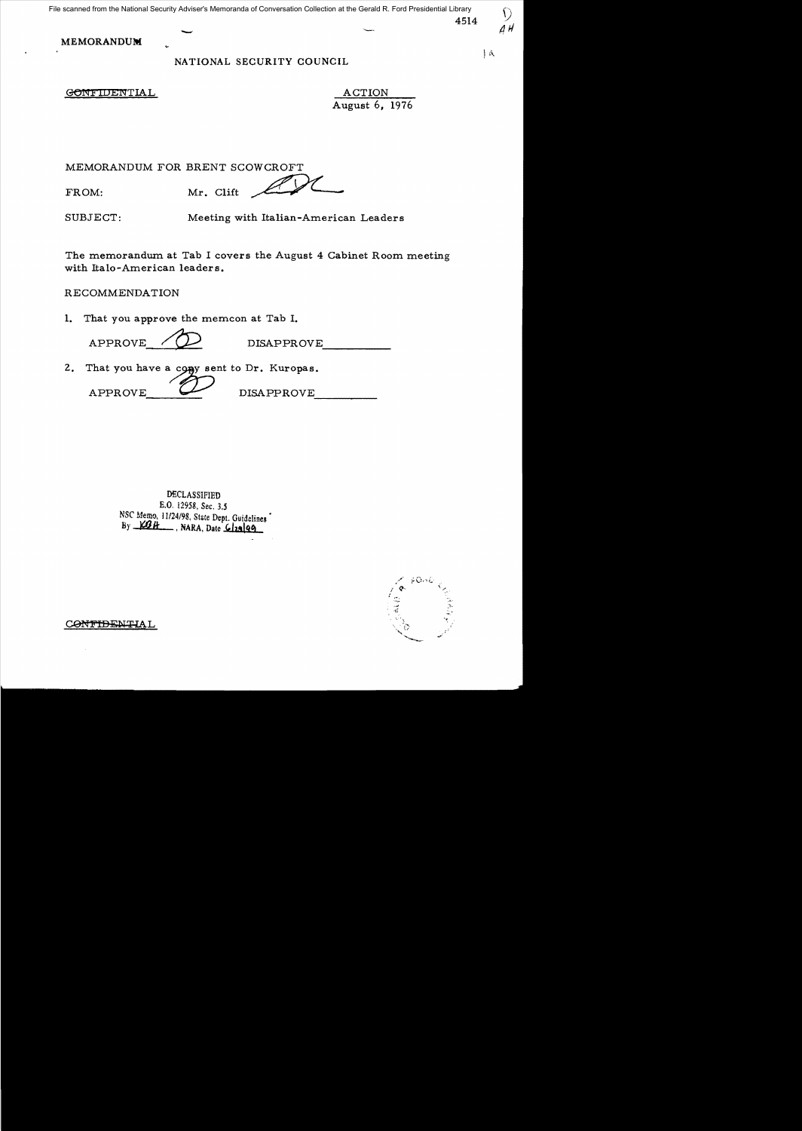# NATIONAL SECURITY COUNCIL  $\vert A \vert$

GONFIDENTIAL ACTION

August 6, 1976

*/Ul* 

MEMORANDUM FOR BRENT SCOWCROFT

FROM: ME. Clift **ANDRANDOM** FOR BRENT SCOWCROFT

SUBJECT: Meeting with Italian-American Leaders

The memorandum at Tab I covers the August 4 Cabinet Room meeting with Italo-American leaders.

RECOMMENDATION

**1.**  That you approve the memcon at Tab I.

 $APPROVE \t\t\begin{picture}(180,170)(0,0) \put(0,0){\line(1,0){15}} \put(1,0){\line(1,0){15}} \put(1,0){\line(1,0){15}} \put(1,0){\line(1,0){15}} \put(1,0){\line(1,0){15}} \put(1,0){\line(1,0){15}} \put(1,0){\line(1,0){15}} \put(1,0){\line(1,0){15}} \put(1,0){\line(1,0){15}} \put(1,0){\line(1,0){15}} \put(1,0){\line(1,0){15}} \put(1,0){\line($ 

2. That you have a copy sent to Dr. Kuropas.<br>
APPROVE DISAPPROVE

DECLASSIFIED £.0. 12958, Sec. 3.5 NSC MemQ, 11124/98, State Dept. Guidelines • By <u>WBH</u>, NARA, Date *Classen* 



CONTIDENTIAL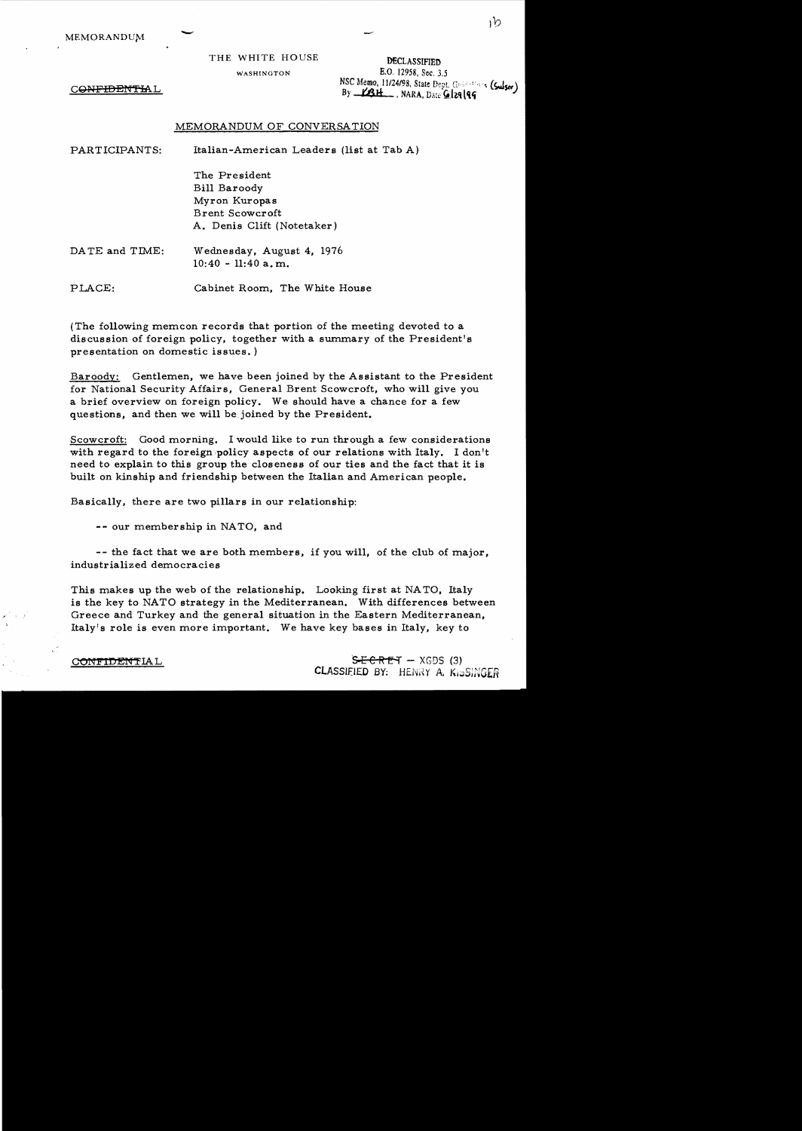CONFIDENTIAL

MEMORANDUM THE WHITE HOUSE WASHINGTON **E.O.** 12958, Sec. 3.5 *NSC Memo, 11/24/98, State Dept. G:*;-:-:'--- (Sulser) By <u>KBH</u>, NARA, Date Gl29 | 99

### MEMORANDUM OF CONVERSATION

PART ICIPANTS: Italian-American Leaders (list at Tab A)

The President Bill Baroody Myron Kuropas Brent Scowcroft A. Denis Clift (Notetaker)

DATE and TIME: Wednesday, August 4, 1976  $10:40 - 11:40$  a.m.

PLACE: Cabinet Room, The White House

(The following memcon records that portion of the meeting devoted to a discussion of foreign policy, together with a summary of the President's presentation on domestic issues. )

Baroodv: Gentlemen, we have been joined by the Assistant to the President for National Security Affairs, General Brent Scowcroft, who will give you a brief overview on for eign policy. We should have a chance for a few questions, and then we will be joined by the President.

Scowcroft: Good morning. I would like to run through a few considerations with regard to the foreign policy aspects of our relations with Italy. I don't need to explain to this group the closeness of our ties and the fact that it is built on kinship and friendship between the Italian and American people.

Basically, there are two pillars in our relationship:

-- our membership in NATO, and

-- the fact that we are both members, if you will, of the club of major, industrialized democracies

This makes up the web of the relationship. Looking first at NA TO, Italy is the key to NATO strategy in the Mediterranean. With differences between Greece and Turkey and the general situation in the Eastern Mediterranean, Italy's role is even more important. We have key bases in Italy, key to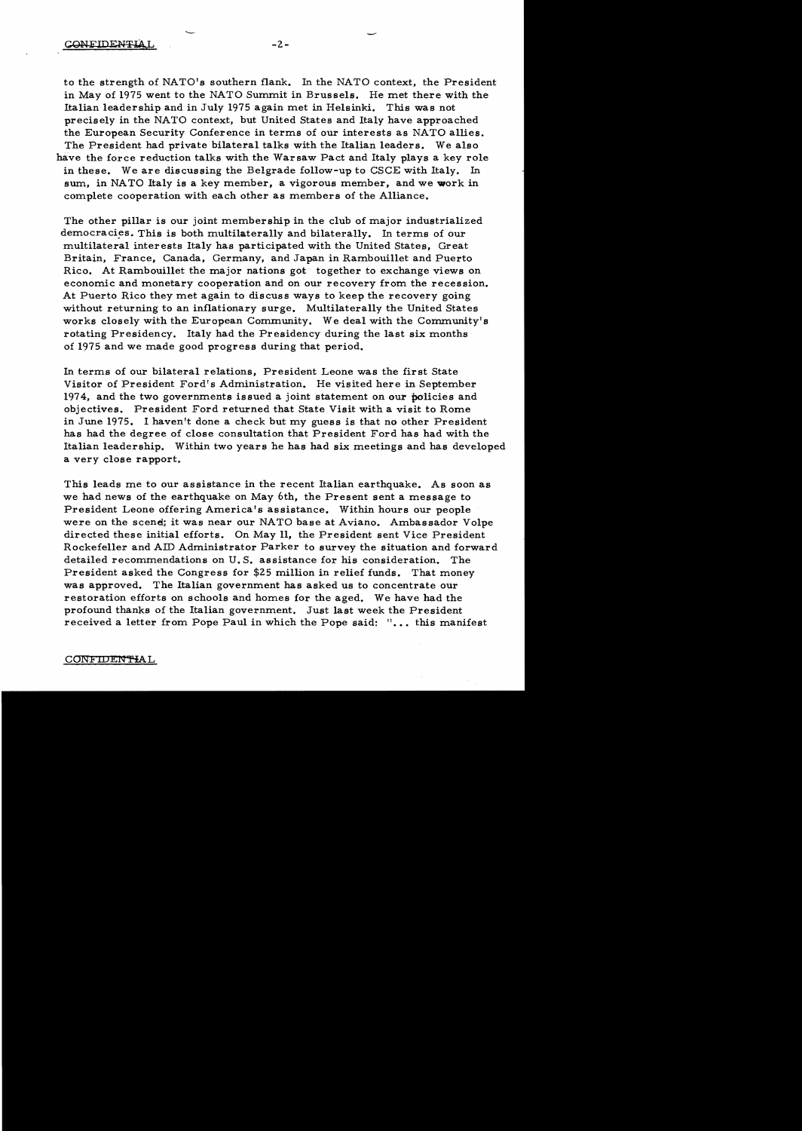to the strength of NATO's southern flank. In the NATO context, the President in May of 1975 went to the NATO Summit in Brussels. He met there with the Italian leadership and in July 1975 again met in Helsinki. This was not precisely in the NATO context, but United States and Italy have approached the European Security Conference in terms of our interests as NATO allies. The President had private bilateral talks with the Italian leaders. We also have the force reduction talks with the Warsaw Pact and Italy plays a key role in these. We are discussing the Belgrade follow-up to CSCE with Italy. In sum, in NATO Italy is a key member, a vigorous member, and we work in complete cooperation with each other as members of the Alliance.

The other pillar is our joint membership in the club of major industrialized democracies. This is both multilaterally and bilaterally. In terms of our multilateral interests Italy has participated with the United States, Great Britain, France, Canada, Germany, and Japan in Rambouillet and Puerto Rico. At Rambouillet the major nations got. together to exchange views on economic and monetary cooperation and on our recovery from the recession. At Puerto Rico they met again to discuss ways to keep the recovery going without returning to an inflationary surge. Multilaterally the United States works closely with the European Community. We deal with the Community's rotating Presidency. Italy had the Presidency during the last six months of 1975 and we made good progress during that period.

In terms of our bilateral relations, President Leone was the first State Visitor of President Ford's Administration. He visited here in September 1974, and the two governments issued a joint statement on our policies and objectives. President Ford returned that State Visit with a visit to Rome in June 1975. I haven't done a check but my guess is that no other President has had the degree of close consultation that President Ford has had with the Italian leadership. Within two years he has had six meetings and has developed a very close rapport.

This leads me to our assistance in the recent Italian earthquake. As soon as we had news of the earthquake on May 6th, the Present sent a message to President Leone offering America's assistance. Within hours our people were on the scend; it was near our NATO base at Aviano. Ambassador Volpe directed these initial efforts. On May 11, the President sent Vice President Rockefeller and AID Administrator Parker to survey the situation and forward detailed recommendations on U. S. assistance for his consideration. The President asked the Congress for \$25 million in relief funds. That money was approved. The Italian government has asked us to concentrate our restoration efforts on schools and homes for the aged. We have had the profound thanks of the Italian government. Just last week the President received a letter from Pope Paul in which the Pope said: "... this manifest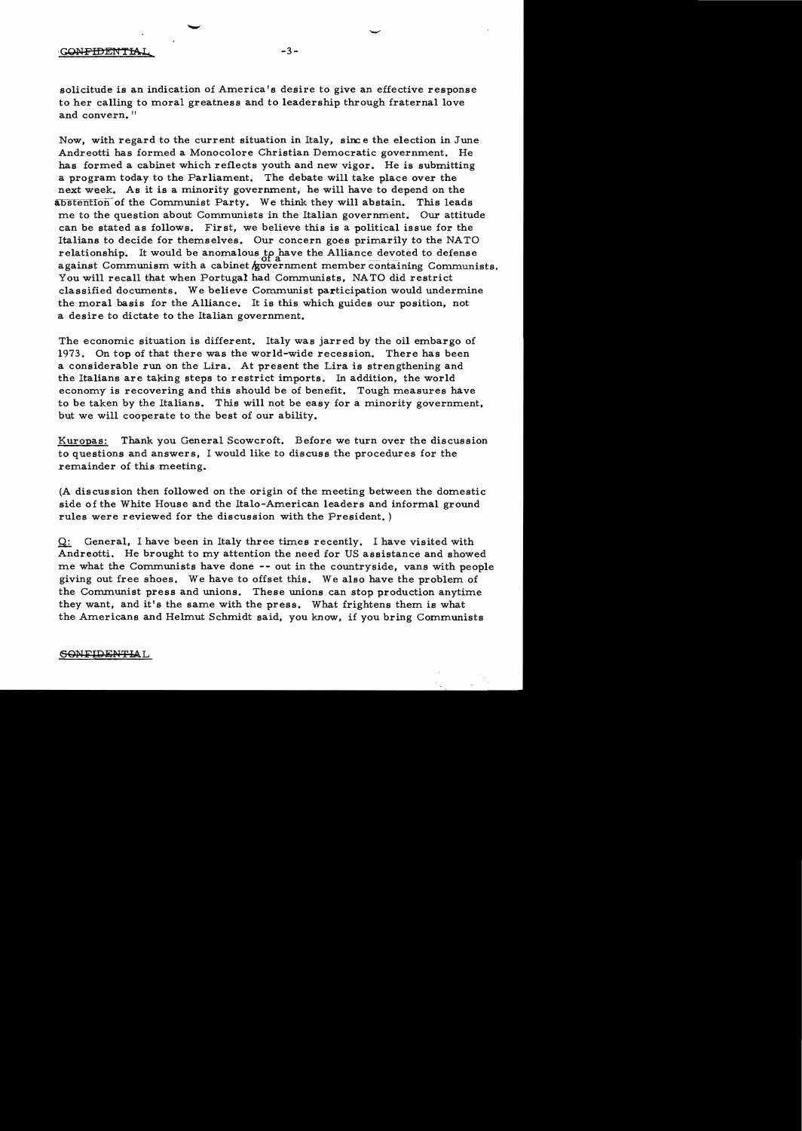#### **CONFIDENTIAL**

solicitude is an indication of America's desire to give an effective response to her calling to moral greatness and to leadership through fraternal love and convern."

 $-3-$ 

Now, with regard to the current situation in Italy. sine e the election in June Andreotti has formed a Monocolore Christian Democratic government. He has formed a cabinet which reflects youth and new vigor. He is submitting a program today to the Parliament. The debate will take place over the next week. As it is a minority government. he will have to depend on the abstention of the Communist Party. We think they will abstain. This leads me to the question about Communists in the Italian government. Our attitude can be stated as follows. First, we believe this is a political issue for the Italians to decide for themselves. Our concern goes primarily to the NATO relationship. It would be anomalous to have the Alliance devoted to defense against Communism with a cabinet /government member containing Communists. You will recall that when Portugal had Communists, NATO did restrict classified documents. We believe Communist participation would undermine the moral basis for the Alliance. It is this which guides our position, not a desire to dictate to the Italian government.

The economic situation is different. Italy was jarred by the oil embargo of 1973. On top of that there was the world-wide recession. There has been a considerable run on the Lira. At present the Lira is strengthening and the Italians are taking steps to restrict imports. In addition. the world economy is recovering and this should be of benefit. Tough measures have to be taken by the Italians. This will not be easy for a minority government, but we will cooperate to the best of our ability.

Kuropas: Thank you General Scowcroft. Before we turn over the discussion to questions and answers. I would like to discuss the procedures for the remainder of this meeting.

(A discussion then followed on the origin of the meeting between the domestic side of the White House and the Italo-American leaders and informal ground rules were reviewed for the discussion with the President. )

 $Q$ : General, I have been in Italy three times recently. I have visited with Andreotti. He brought to my attention the need for US assistance and showed me what the Communists have done -- out in the countryside, vans with people giving out free shoes. We have to offset this. We also have the problem of the Communist press and unions. These unions can stop production anytime they want. and it's the same with the press. What frightens them is what the Americans and Helmut Schmidt said. you know, if you bring Communists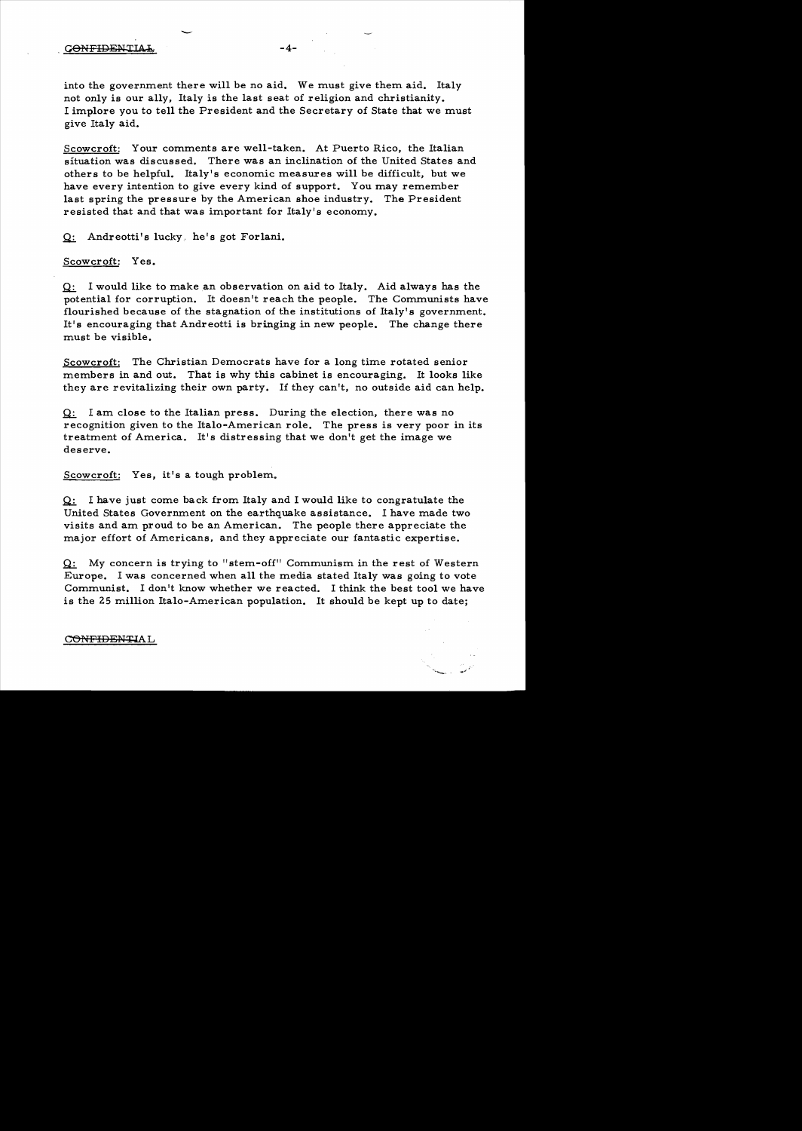into the government there will be no aid. We must give them aid. Italy not only is our ally, Italy is the last seat of religion and christianity. I implore you to tell the President and the Secretary of State that we must give Italy aid.

Scowcroft: Your comments are well-taken. At Puerto Rico, the Italian situation was discussed. There was an inclination of the United States and others to be helpful. Italy's economic measures will be difficult, but we have every intention to give every kind of support. You may remember last spring the pressure by the American shoe industry. The President resisted that and that was important for Italy's economy.

Q: Andreotti's lucky, he's got Forlani.

Scowcroft: Yes.

 $Q:$  I would like to make an observation on aid to Italy. Aid always has the potential for corruption. It doesn't reach the people. The Communists have flourished because of the stagnation of the institutions of Italy's government. It's encouraging that Andreotti is bringing in new people. The change there must be visible.

Scowcroft: The Christian Democrats have for a long time rotated senior members in and out. That is why this cabinet is encouraging. It looks like they are revitalizing their own party. If they can't, no outside aid can help.

 $Q:$  I am close to the Italian press. During the election, there was no recognition given to the Italo-American role. The press is very poor in its treatment of America. It's distressing that we don't get the image we deserve.

Scowcroft: Yes, it's a tough problem.

 $Q:$  I have just come back from Italy and I would like to congratulate the United States Government on the earthquake assistance. I have made two visits and am proud to be an American. The people there appreciate the major effort of Americans, and they appreciate our fantastic expertise.

 $Q:$  My concern is trying to "stem-off" Communism in the rest of Western Europe. I was concerned when all the media stated Italy was going to vote Communist. I don't know whether we reacted. I think the best tool we have is the 25 million Italo-American population. It should be kept up to date;

#### CONFIDENTIAL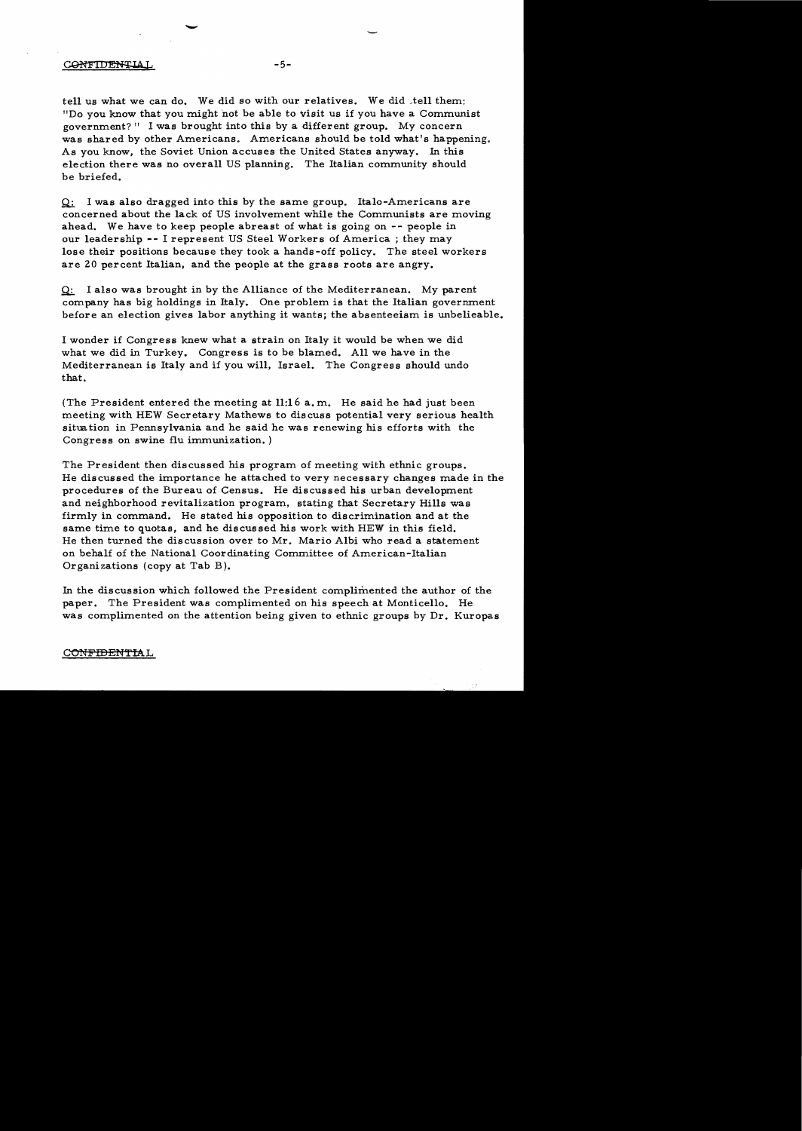#### CONFIDENTIAL

tell us what we can do. We did so with our relatives. We did the them: "Do you know that you might not be able to visit us if you have a Communist government?" I was brought into this by a different group. My concern was shared by other Americans. Americans should be told what's happening. As you know. the Soviet Union accuses the United States anyway. In this election there was no overall US planning. The Italian community should be briefed.

 $-5-$ 

 $Q$ : I was also dragged into this by the same group. Italo-Americans are concerned about the lack of US involvement while the Communists are moving ahead. We have to keep people abreast of what is going on -- people in our leadership -- I represent US Steel Workers of America; they may lose their positions because they took a hands-off policy. The steel workers are 20 percent Italian, and the people at the grass roots are angry.

Q: I also was brought in by the Alliance of the Mediterranean. My parent company has big holdings in Italy. One problem is that the Italian government before an election gives labor anything it wants; the absenteeism is unbelieable.

I wonder if Congress knew what a strain on Italy it would be when we did what we did in Turkey. Congress is to be blamed. All we have in the Mediterranean is Italy and if you will, Israel. The Congress should undo that.

(The President entered the meeting at  $11:16$  a.m. He said he had just been meeting with HEW Secretary Mathews to discuss potential very serious health situation in Pennsylvania and he said he was renewing his efforts with the Congress on swine flu immunization. )

The President then discussed his program of meeting with ethnic groups. He discussed the importance he attached to very necessary changes made in the procedures of the Bureau of Census. He discussed his urban development and neighborhood revitalization program. stating that Secretary Hills was firmly in command. He stated his opposition to discrimination and at the same time to quotas, and he discussed his work with HEW in this field. He then turned the discussion over to Mr. Mario Albi who read a statement on behalf of the National Coordinating Committee of American-Italian Organizations (copy at Tab B).

In the discussion which followed the President complimented the author of the paper. The President was complimented on his speech at Monticello. He was complimented on the attention being given to ethnic groups by Dr. Kuropas

#### CONFIDENTIAL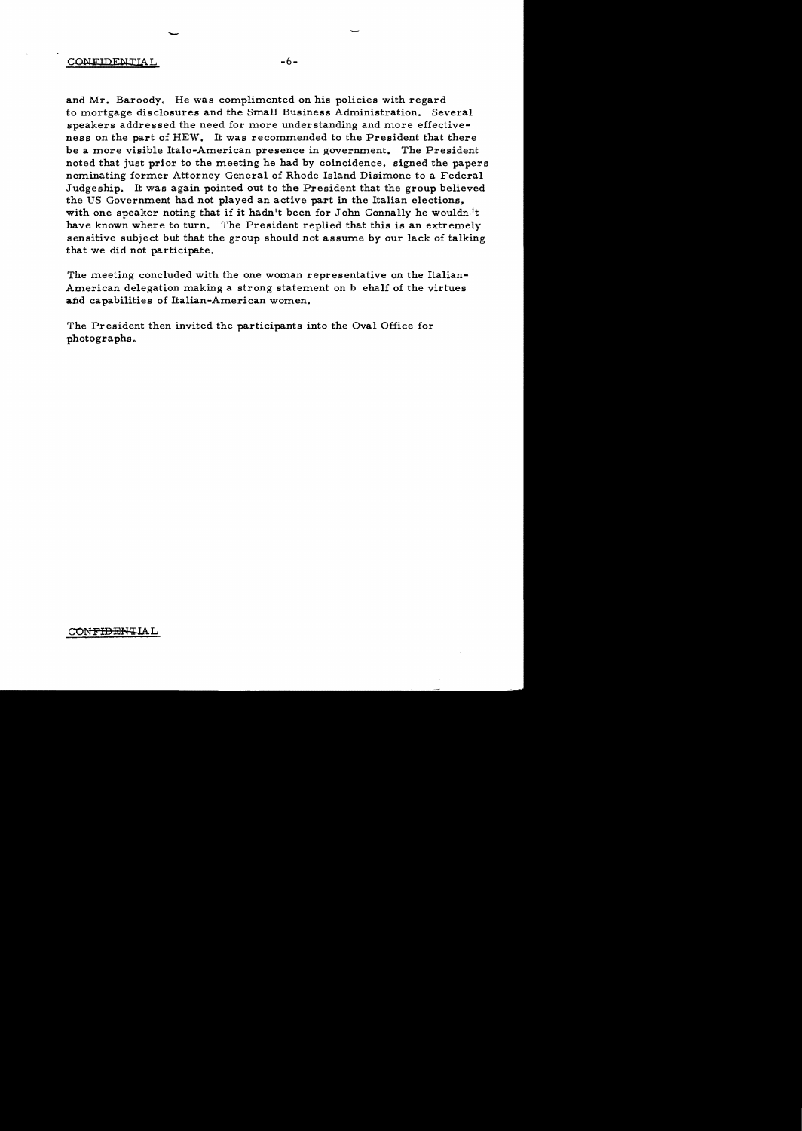## CONFIDEWTIAL -6

-

and Mr. Baroody. He was complimented on his policies with regard to mortgage disclosures and the Small Business Administration. Several speakers addressed the need for more understanding and more effectiveness on the part of HEW. It was recommended to the President that there be a more visible Italo-American presence in government. The President noted that just prior to the meeting he had by coincidence, signed the papers nominating former Attorney General of Rhode Island Disimone to a Federal Judgeship. It was again pointed out to the President that the group believed the US Government had not played an active part in the Italian elections, with one speaker noting that if it hadn't been for John Connally he wouldn't have known where to turn. The President replied that this is an extremely sensitive subject but that the group should not assume by our lack of talking that we did not participate.

The meeting concluded with the one woman representative on the Italian-American delegation making a strong statement on b ehalf of the virtues and capabilities of Italian-American women.

The President then invited the participants into the Oval Office for photographs.

CONFIDENTIAL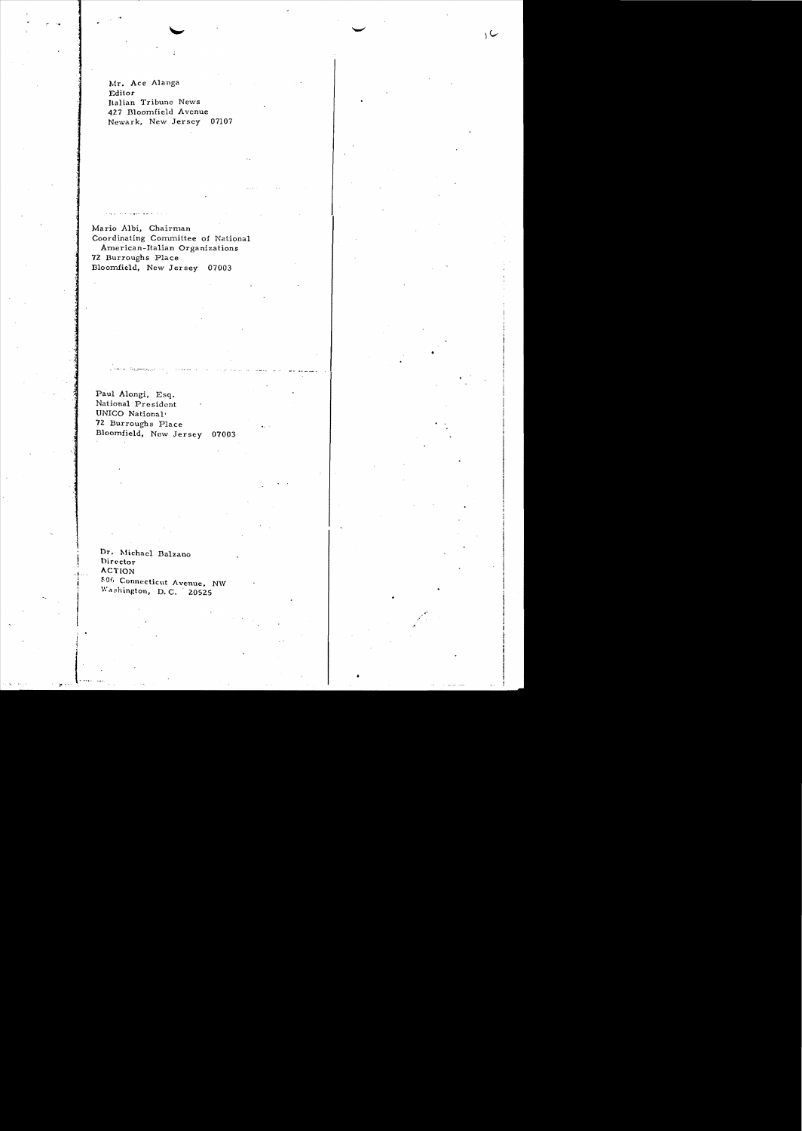Mr. Ace Alanga Editor Italian Tribune News 427 Bloomfield Avenue Newark, New Jersey 07107 ب د

Mario Albi, Chairman Coordinating Committee of National American-Italian Organizations 72 Burroughs Place Bloomfield, New Jersey 07003

Paul Alongi, Esq. National President UNICO National' 72 Burroughs Place Bloomfield, New Jersey 07003

يبيئان والتعادل

Dr. Michael Balzano Director **ACTION** f-Of. Connecticut Avenue, N\V <sup>1</sup>W.ll'hington, D.C. 20525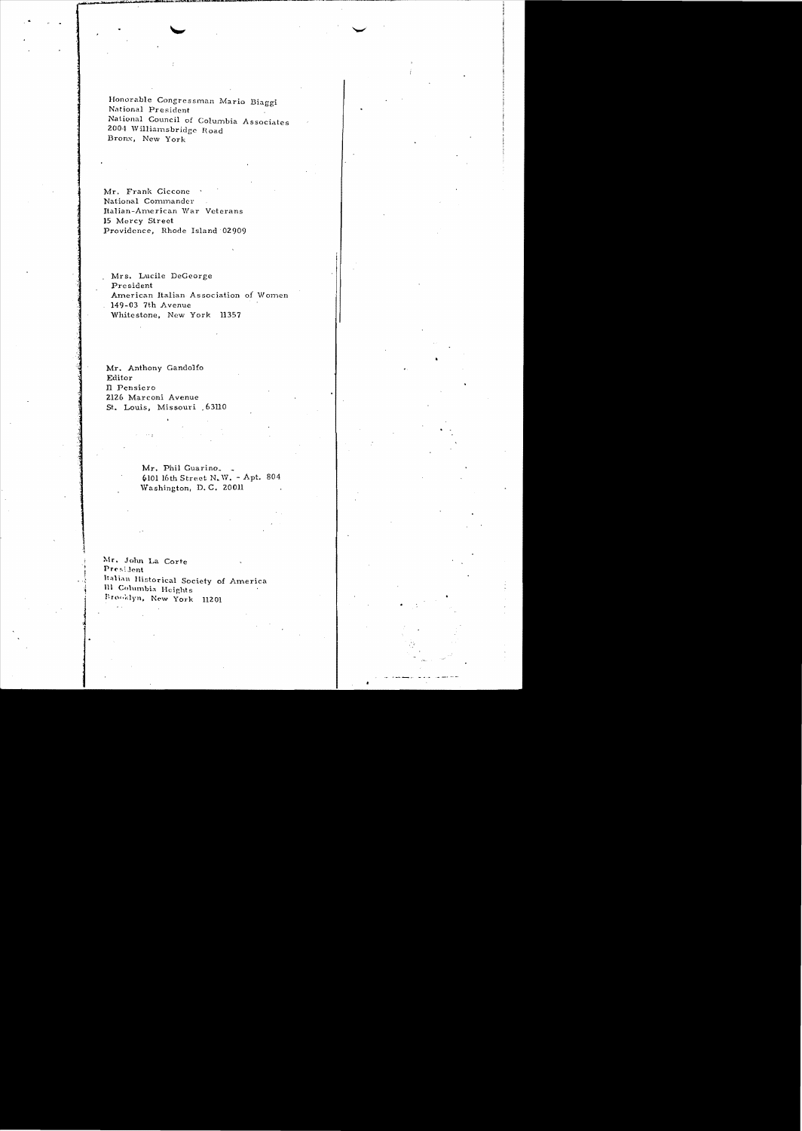Honorable Congressman Mario Biaggi National President National Council of Columbia Associates 2004 Williamsbridge Road Bronx, New York

Mr. Frank Ciccone National Commander Italian-American War Veterans 15 Mercy Street Providence, Rhode Island 02909

. Mrs. Lucile DeGeorge President American Italian Association of Women 149-03 7th Avenue Whitestone, New York 11357

Mr. Anthony Gandolfo Editor Il Pensiero 2126 Marconi Avenue St. Louis, Missouri 63110

 $\sim$   $\sim$ 

 $\bar{\nu}$  .

Mr. Phil Guarino. 6101 16th Street N.W. - Apt. 804 Washington, D.C. 20011

Mr. John La Corte President Italian Historical Society of America Ill Columbia Heights Brooklyn, New York 11201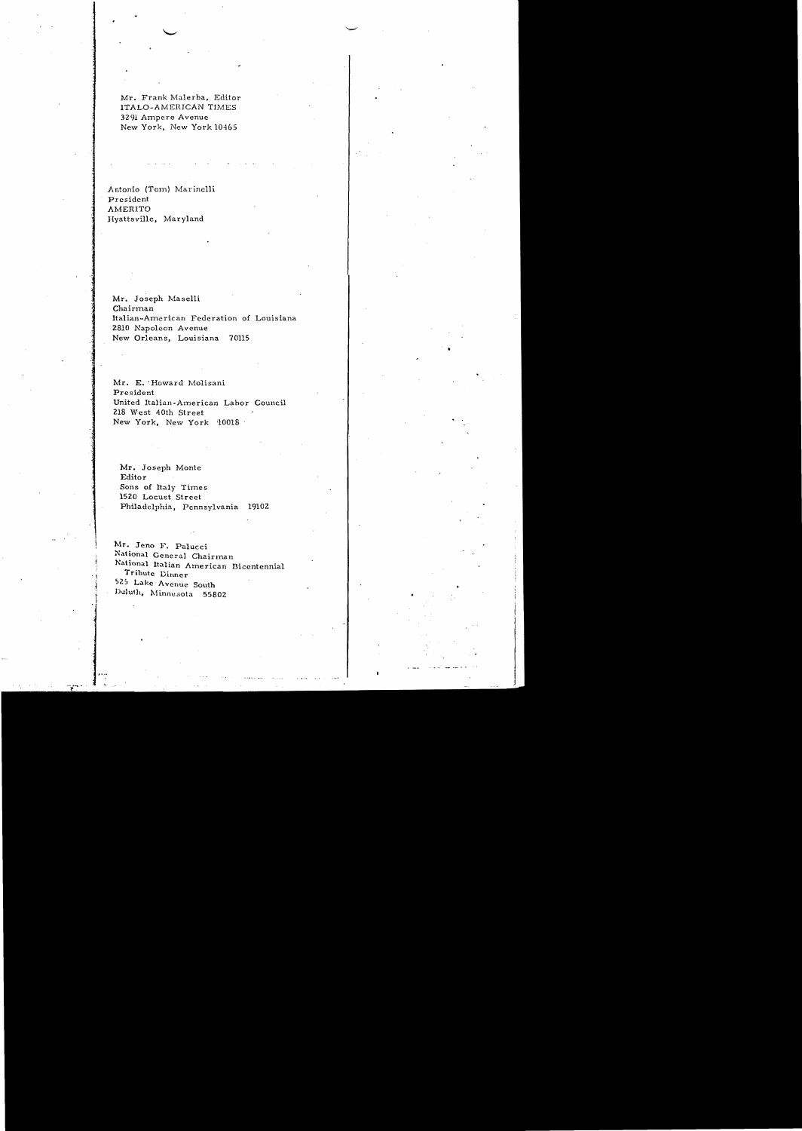Mr. Frank Malerba, Editor ITALO-AMERICAN TIMES 3291 Ampere Avenue New York, New York 10465

Antonio (Tom) Marinelli President AMERITO Hyattsville, Maryland

Mr. Joseph Maselli Chairman Italian-American Federation of Louisiana 2810 Napoleon Avenue New Orleans, Louisiana 70115

Mr. E. 'Howard Molisani President United Italian-American Labor Council 218 West 40th Street New York, New York '10018'

Mr. Joseph Monte Editor Sons of Italy Times 1520 Locust Street Philadelphia, Pennsylvania 19102

Mr. Jeno F. Palucci National General Chairman National Italian American Bicentennial Tribute Dinner 525 Lake Avenue South Dululh, Minnesota 55802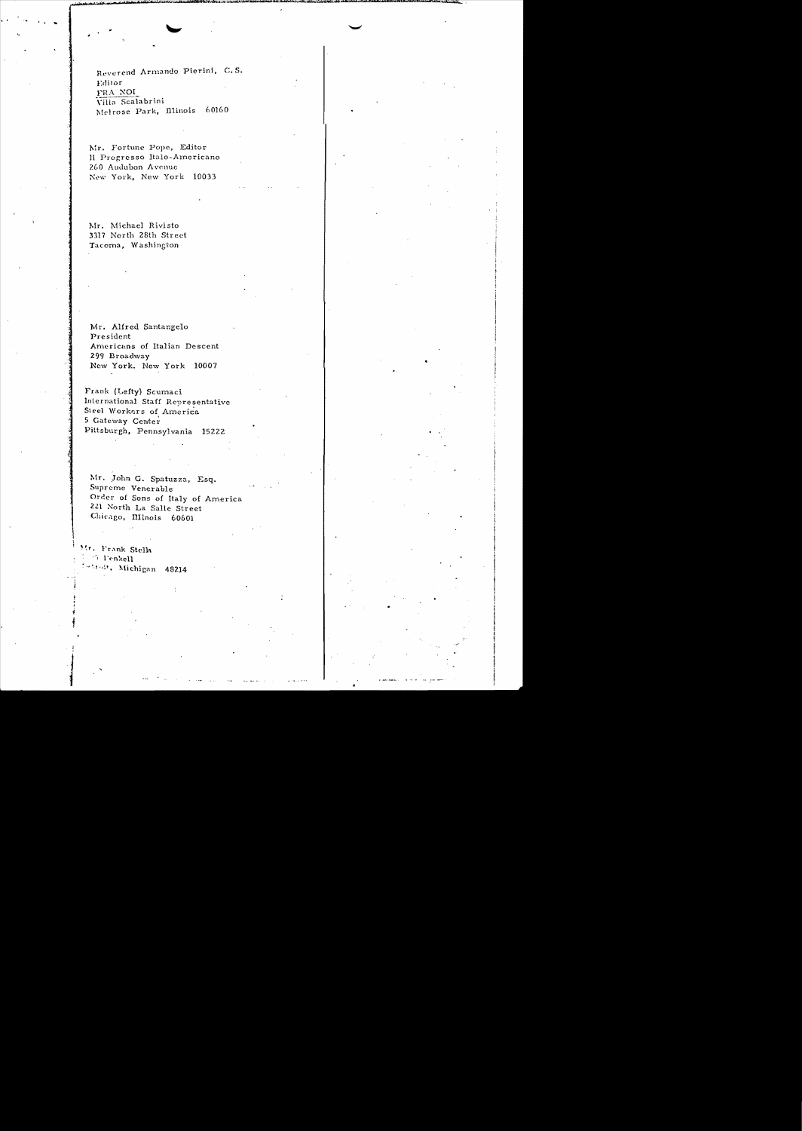Reverend Armando Pierini, C.S. Editor FRA NOI Villa Scalabrini Melrose Park, Illinois 60160

Mr. Fortune Pope, Editor Il Progresso Italo-Americano 260 Audubon Avenue New York, New York 10033

Mr. Michael Rivisto 3317 North 28th Street Tacoma, Washington

Mr. Alfred Santangelo President Americans of Italian Descent 299 Broadway New York. New York 10007

Frank (Lefty) Scumaci International Staff Representative Steel Workers of America 5 Gateway Center Pittsburgh, Pennsylvania 15222

Mr. John G. Spatuzza, Esq. Supreme Venerable Order of Sons of Italy of America 221 North La Salle Street Chicago, Illinois 60601

Mr. Frank Stella  $\sim 5$  Penkell Lettest, Michigan 48214

 $\sim$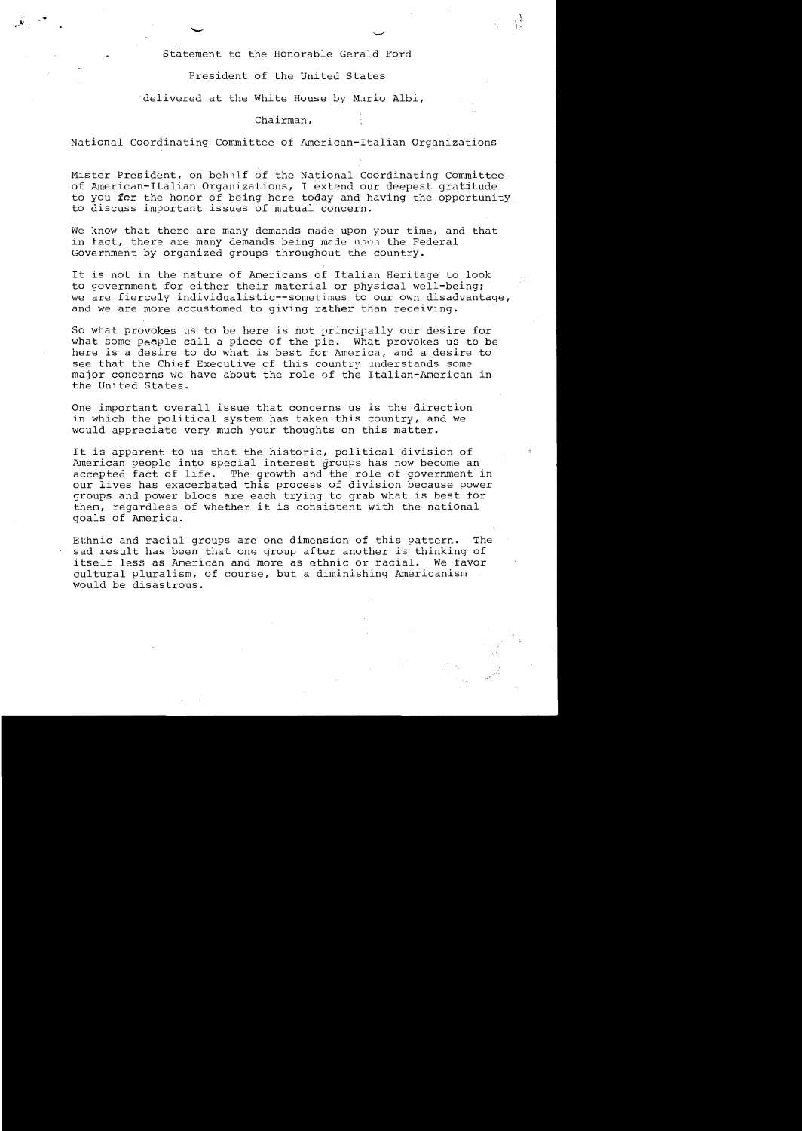Statement to the Honorable Gerald Ford

 $\mathcal{Y}$  $\mathcal{L}$ .. .,

President of the United States

delivered at the White House by Mario Albi,

Chairman,

National Coordinating Committee of American-Italian Organizations

Mister President, on behalf of the National Coordinating Committee of American-Italian Organizations, I extend our deepest gratitude to you for the honor of being here today and having the opportunity to discuss important issues of mutual concern.

We know that there are many demands made upon your time, and that in fact, there are many demands being made upon the Federal Government by organized groups throughout the country.

It is not in the nature of Americans of Italian Heritage to look to government for either their material or physical well-being: we are fiercely individualistic--sometimes to our own disadvantage, and we are more accustomed to giving rather than receiving.

So what provokes us to be here is not principally our desire for what some people call a piece of the pie. What provokes us to be here is a desire to do what is best for America, and a desire to see that the Chief Executive of this country understands some major concerns we have about the role of the Italian-American in the United States.

One important overall issue that concerns us is the direction in which the political system has taken this country, and we would appreciate very much your thoughts on this matter.

It is apparent to us that the historic, political division of American people into special interest groups has now become an accepted fact of life. The growth and the role of government in our lives has exacerbated this process of division because power groups and power blocs are each trying to grab what is best for them, regardless of whether it is consistent with the national goals of America.

Ethnic and racial groups are one dimension of this pattern. The sad result has been that one group after another is thinking of<br>itself less as American and more as ethnic or racial. We favor itself less as American and more as ethnic or racial. cultural pluralism, of course, but a diminishing Americanism would be disastrous.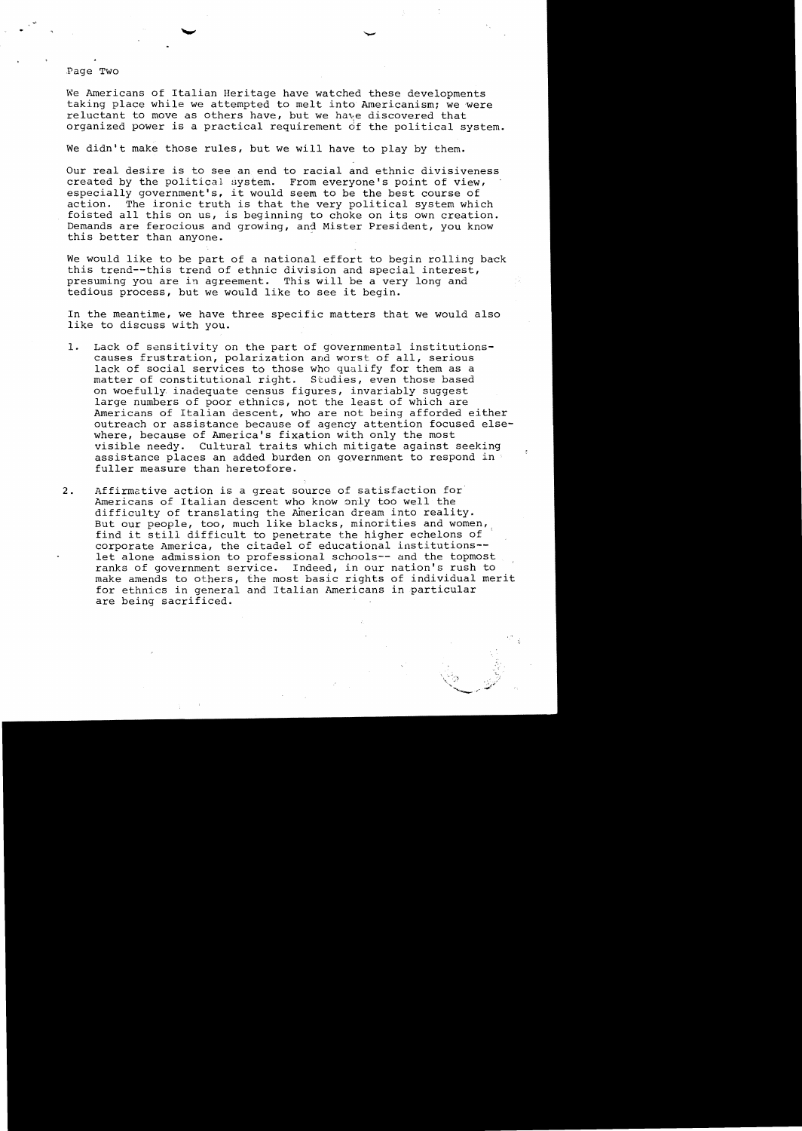Page Two

We Americans of Italian Heritage have watched these developments taking place while we attempted to melt into Americanism; we were reluctant to move as others have, but we have discovered that organized power is a practical requirement of the political system.

We didn't make those rules, but we will have to play by them.

Our real desire is to see an end to racial and ethnic divisiveness created by the political system. From everyone's point of view, especially government's, it would seem to be the best course of action. The ironic truth is that the very political system which foisted all this on us, is beginning to choke on its own creation. Demands are ferocious and growing, and Mister President, you know this better than anyone.

We would like to be part of a national effort to begin rolling back this trend--this trend of ethnic division and special interest, presuming you are in agreement. This will be a very long and tedious process, but we would like to see it begin.

In the meantime, we have three specific matters that we would also like to discuss with you.

- 1. Lack of sensitivity on the part of governmental institutionscauses frustration, polarization and worst of all, serious lack of social services to those who qualify for them as a matter of constitutional right. Studies, even those based on woefully inadequate census figures, invariably suggest large numbers of poor ethnics, not the least of which are Americans of Italian descent, who are not being afforded either outreach or assistance because of agency attention focused elsewhere, because of America's fixation with only the most visible needy. Cultural traits which mitigate against seeking assistance places an added burden on government to respond in fuller measure than heretofore.
- 2. Affirmative action is a great source of satisfaction for Americans of Italian descent who know only too well the difficulty of translating the American dream into reality. But our people, too, much like blacks, minorities and women, find it still difficult to penetrate the higher echelons of corporate America, the citadel of educational institutions let alone admission to professional schools-- and the topmost ranks of government service. Indeed, in our nation's rush to make amends to others, the most basic rights of individual merit for ethnics in general and Italian Americans in particular are being sacrificed.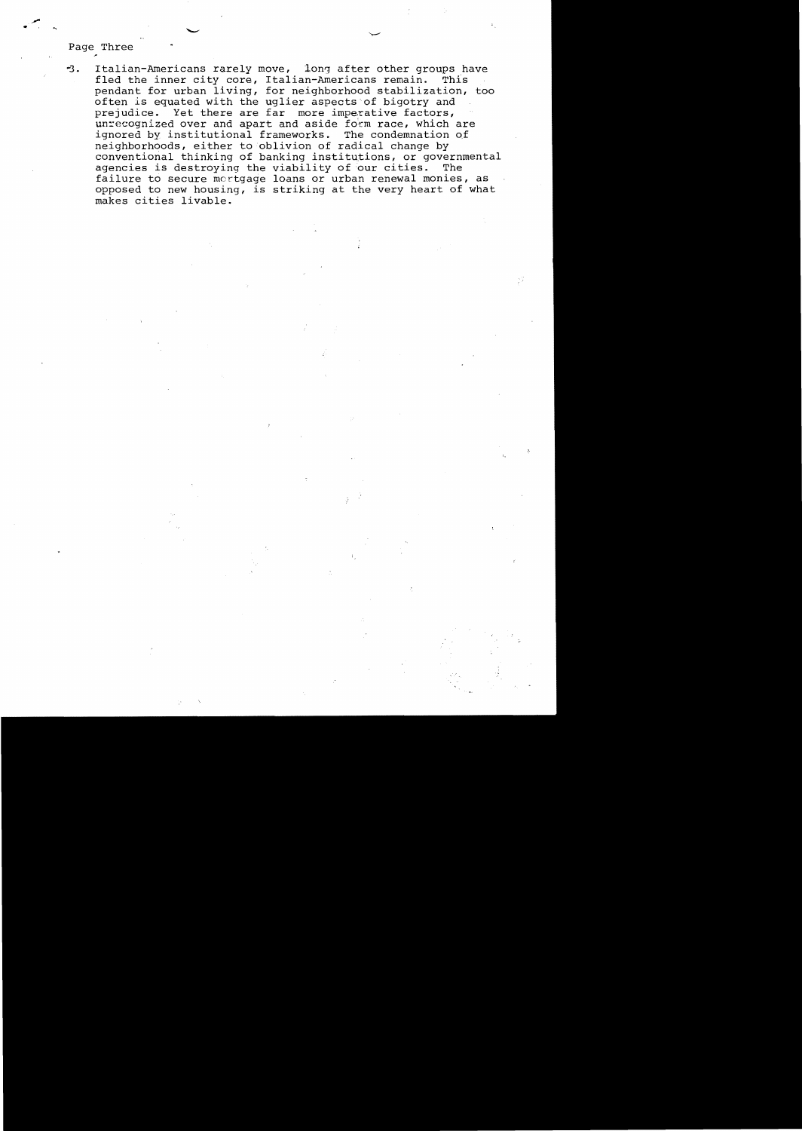# Page Three

Italian-Americans rarely move, long after other groups have  $-3.$ fled the inner city core, Italian-Americans remain. This pendant for urban living, for neighborhood stabilization, too often is equated with the uglier aspects of bigotry and prejudice. Yet there are far more imperative factors, unrecognized over and apart and aside form race, which are ignored by institutional frameworks. The condemnation of neighborhoods, either to oblivion of radical change by conventional thinking of banking institutions, or governmental agencies is destroying the viability of our cities. The failure to secure mortgage loans or urban renewal monies, as opposed to new housing, is striking at the very heart of what makes cities livable.